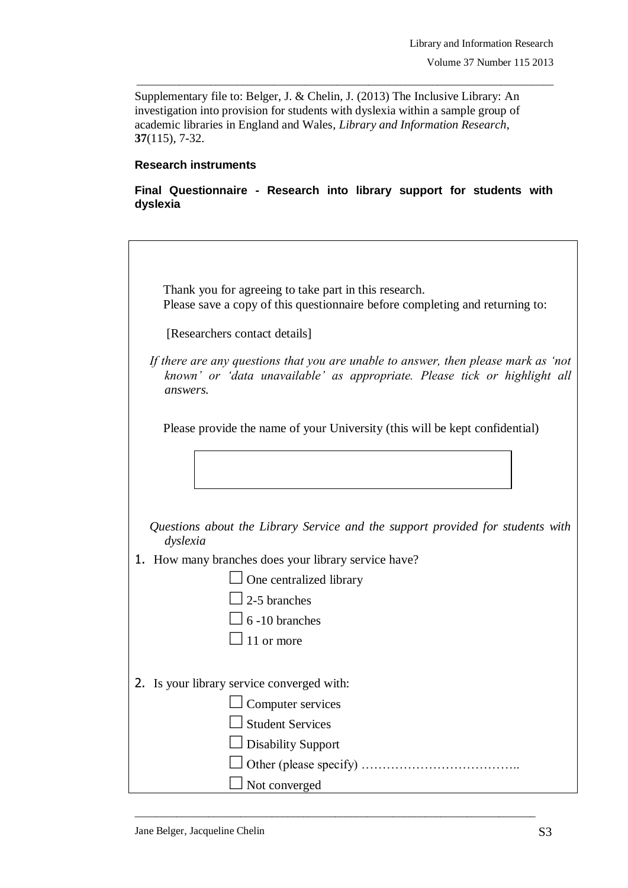$\overline{\phantom{a}}$ 

Supplementary file to: Belger, J. & Chelin, J. (2013) The Inclusive Library: An investigation into provision for students with dyslexia within a sample group of academic libraries in England and Wales, *Library and Information Research*, **37**(115), 7-32.

\_\_\_\_\_\_\_\_\_\_\_\_\_\_\_\_\_\_\_\_\_\_\_\_\_\_\_\_\_\_\_\_\_\_\_\_\_\_\_\_\_\_\_\_\_\_\_\_\_\_\_\_\_\_\_\_\_\_\_\_\_\_\_\_\_\_\_\_\_\_\_\_\_\_\_\_\_\_\_

## **Research instruments**

**Final Questionnaire - Research into library support for students with dyslexia**

| Thank you for agreeing to take part in this research.<br>Please save a copy of this questionnaire before completing and returning to:                                       |
|-----------------------------------------------------------------------------------------------------------------------------------------------------------------------------|
| [Researchers contact details]                                                                                                                                               |
| If there are any questions that you are unable to answer, then please mark as 'not<br>known' or 'data unavailable' as appropriate. Please tick or highlight all<br>answers. |
| Please provide the name of your University (this will be kept confidential)                                                                                                 |
|                                                                                                                                                                             |
|                                                                                                                                                                             |
| Questions about the Library Service and the support provided for students with<br>dyslexia                                                                                  |
| 1. How many branches does your library service have?                                                                                                                        |
| $\Box$ One centralized library                                                                                                                                              |
| $\sqrt{2-5}$ branches                                                                                                                                                       |
| $\frac{1}{6}$ -10 branches                                                                                                                                                  |
| 11 or more                                                                                                                                                                  |
|                                                                                                                                                                             |
| 2. Is your library service converged with:                                                                                                                                  |
| Computer services                                                                                                                                                           |
| <b>Student Services</b>                                                                                                                                                     |
| <b>Disability Support</b>                                                                                                                                                   |
|                                                                                                                                                                             |
| Not converged                                                                                                                                                               |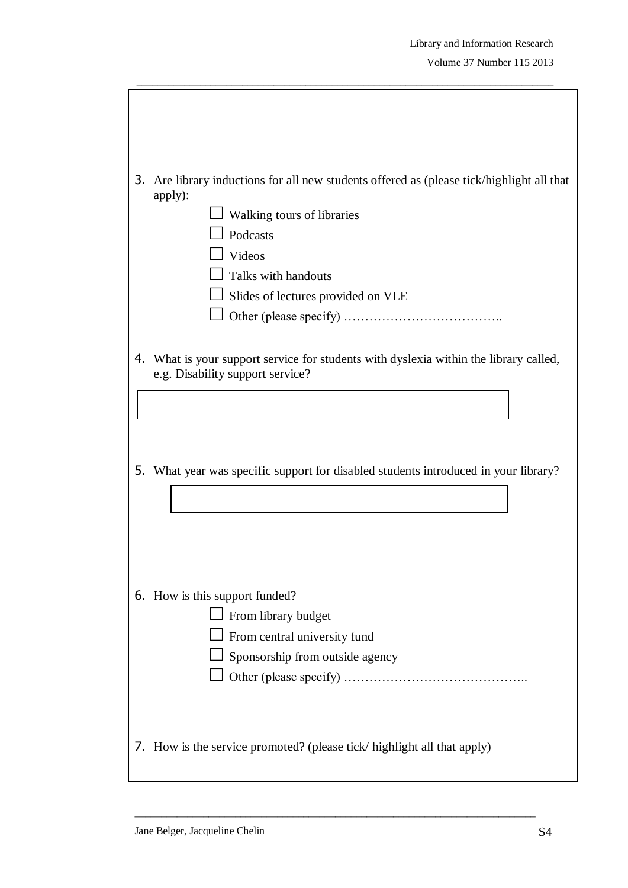| 3. | Are library inductions for all new students offered as (please tick/highlight all that<br>apply):<br>Walking tours of libraries<br>Podcasts<br>Videos<br>Talks with handouts<br>Slides of lectures provided on VLE |
|----|--------------------------------------------------------------------------------------------------------------------------------------------------------------------------------------------------------------------|
| 4. | What is your support service for students with dyslexia within the library called,<br>e.g. Disability support service?                                                                                             |
| 5. | What year was specific support for disabled students introduced in your library?                                                                                                                                   |
|    | 6. How is this support funded?<br>From library budget<br>From central university fund<br>Sponsorship from outside agency                                                                                           |
|    | 7. How is the service promoted? (please tick/ highlight all that apply)                                                                                                                                            |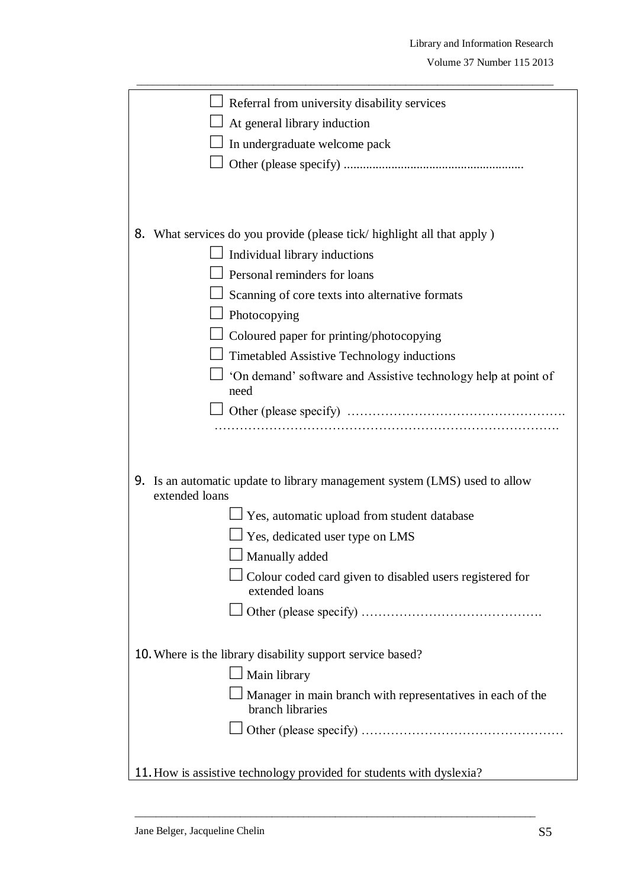| Referral from university disability services<br>At general library induction                 |
|----------------------------------------------------------------------------------------------|
| In undergraduate welcome pack                                                                |
|                                                                                              |
|                                                                                              |
|                                                                                              |
|                                                                                              |
| 8. What services do you provide (please tick/ highlight all that apply)                      |
| Individual library inductions                                                                |
| Personal reminders for loans                                                                 |
| Scanning of core texts into alternative formats                                              |
| Photocopying                                                                                 |
| Coloured paper for printing/photocopying                                                     |
| Timetabled Assistive Technology inductions                                                   |
| 'On demand' software and Assistive technology help at point of                               |
| need                                                                                         |
|                                                                                              |
|                                                                                              |
|                                                                                              |
| 9. Is an automatic update to library management system (LMS) used to allow<br>extended loans |
| Yes, automatic upload from student database                                                  |
| Yes, dedicated user type on LMS                                                              |
| Manually added                                                                               |
| Colour coded card given to disabled users registered for                                     |
| extended loans                                                                               |
|                                                                                              |
|                                                                                              |
| 10. Where is the library disability support service based?                                   |
| Main library                                                                                 |
| Manager in main branch with representatives in each of the<br>branch libraries               |
|                                                                                              |
|                                                                                              |
| 11. How is assistive technology provided for students with dyslexia?                         |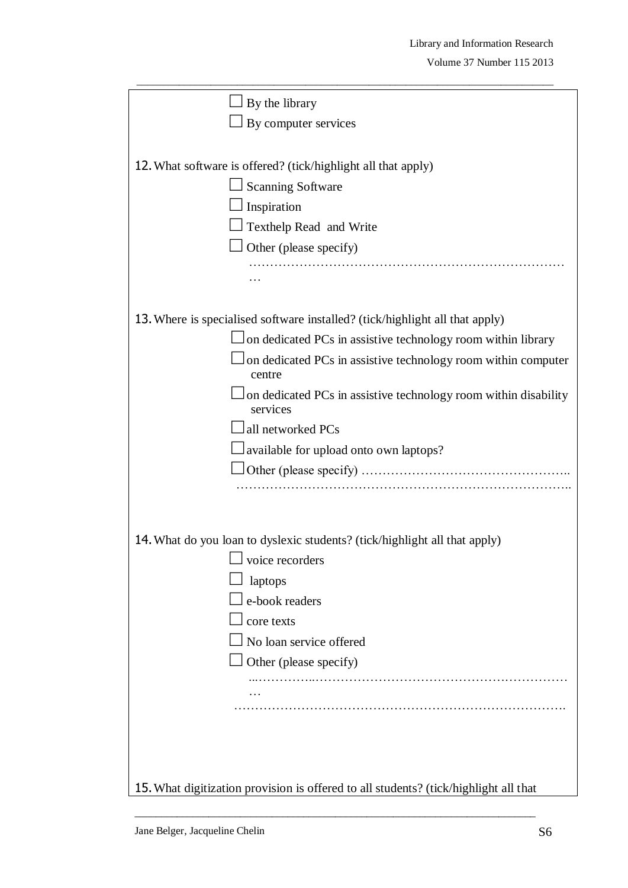| By the library                                                                       |
|--------------------------------------------------------------------------------------|
| By computer services                                                                 |
|                                                                                      |
| 12. What software is offered? (tick/highlight all that apply)                        |
| <b>Scanning Software</b>                                                             |
| Inspiration                                                                          |
| Texthelp Read and Write                                                              |
| Other (please specify)                                                               |
|                                                                                      |
|                                                                                      |
| 13. Where is specialised software installed? (tick/highlight all that apply)         |
| on dedicated PCs in assistive technology room within library                         |
| on dedicated PCs in assistive technology room within computer<br>centre              |
| on dedicated PCs in assistive technology room within disability<br>services          |
| all networked PCs                                                                    |
| available for upload onto own laptops?                                               |
|                                                                                      |
|                                                                                      |
|                                                                                      |
| 14. What do you loan to dyslexic students? (tick/highlight all that apply)           |
| voice recorders                                                                      |
| laptops                                                                              |
| e-book readers                                                                       |
| core texts                                                                           |
| No loan service offered                                                              |
| Other (please specify)                                                               |
|                                                                                      |
|                                                                                      |
|                                                                                      |
|                                                                                      |
|                                                                                      |
| 15. What digitization provision is offered to all students? (tick/highlight all that |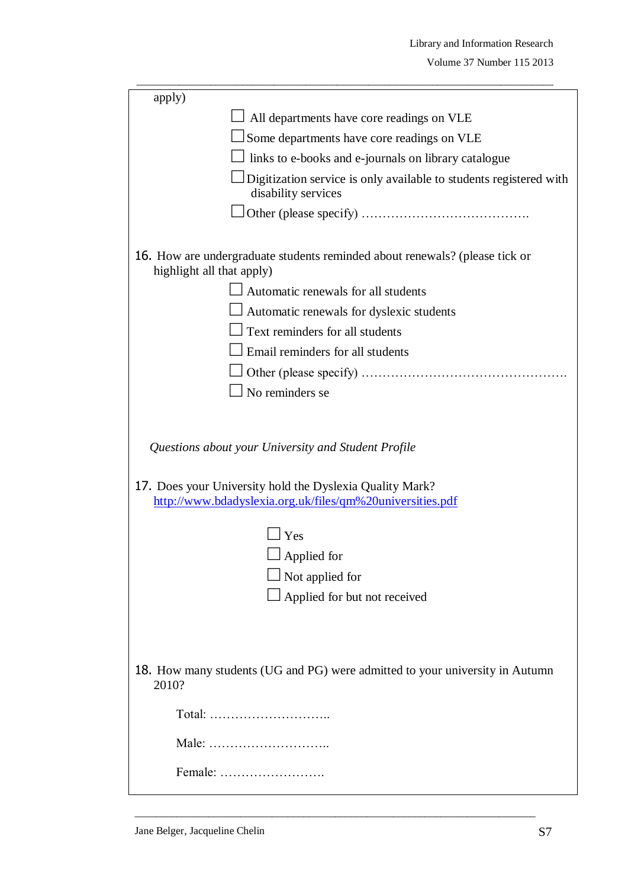| apply)                                              |                                                                                                                       |  |  |
|-----------------------------------------------------|-----------------------------------------------------------------------------------------------------------------------|--|--|
|                                                     | All departments have core readings on VLE                                                                             |  |  |
|                                                     | Some departments have core readings on VLE                                                                            |  |  |
|                                                     | links to e-books and e-journals on library catalogue                                                                  |  |  |
|                                                     | Digitization service is only available to students registered with<br>disability services                             |  |  |
|                                                     |                                                                                                                       |  |  |
| highlight all that apply)                           | 16. How are undergraduate students reminded about renewals? (please tick or                                           |  |  |
|                                                     | $\Box$ Automatic renewals for all students                                                                            |  |  |
|                                                     | Automatic renewals for dyslexic students                                                                              |  |  |
|                                                     | $\perp$ Text reminders for all students                                                                               |  |  |
|                                                     | Email reminders for all students                                                                                      |  |  |
|                                                     |                                                                                                                       |  |  |
|                                                     | No reminders se                                                                                                       |  |  |
| Questions about your University and Student Profile |                                                                                                                       |  |  |
|                                                     | 17. Does your University hold the Dyslexia Quality Mark?<br>http://www.bdadyslexia.org.uk/files/qm%20universities.pdf |  |  |
|                                                     | Yes                                                                                                                   |  |  |
|                                                     | Applied for                                                                                                           |  |  |
|                                                     | Not applied for                                                                                                       |  |  |
|                                                     | Applied for but not received                                                                                          |  |  |
|                                                     |                                                                                                                       |  |  |
| 2010?                                               | 18. How many students (UG and PG) were admitted to your university in Autumn                                          |  |  |
|                                                     | Total:                                                                                                                |  |  |
|                                                     |                                                                                                                       |  |  |
|                                                     | Female:                                                                                                               |  |  |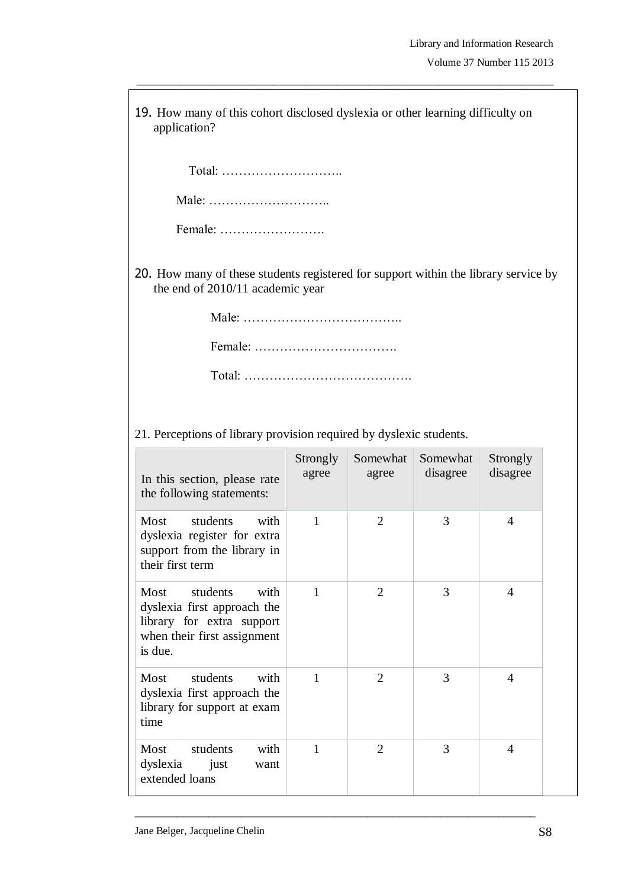| 19. How many of this cohort disclosed dyslexia or other learning difficulty on<br>application?                                 |                   |                   |                      |                      |  |
|--------------------------------------------------------------------------------------------------------------------------------|-------------------|-------------------|----------------------|----------------------|--|
| Total:                                                                                                                         |                   |                   |                      |                      |  |
|                                                                                                                                |                   |                   |                      |                      |  |
| Female:                                                                                                                        |                   |                   |                      |                      |  |
| 20. How many of these students registered for support within the library service by<br>the end of 2010/11 academic year        |                   |                   |                      |                      |  |
|                                                                                                                                |                   |                   |                      |                      |  |
|                                                                                                                                |                   |                   |                      |                      |  |
|                                                                                                                                |                   |                   |                      |                      |  |
|                                                                                                                                |                   |                   |                      |                      |  |
| 21. Perceptions of library provision required by dyslexic students.                                                            |                   |                   |                      |                      |  |
| In this section, please rate<br>the following statements:                                                                      | Strongly<br>agree | Somewhat<br>agree | Somewhat<br>disagree | Strongly<br>disagree |  |
| students<br>Most<br>with<br>dyslexia register for extra<br>support from the library in<br>their first term                     | $\mathbf{1}$      | $\overline{2}$    | 3                    | $\overline{4}$       |  |
| students<br>Most<br>with<br>dyslexia first approach the<br>library for extra support<br>when their first assignment<br>is due. | 1                 | $\overline{2}$    | 3                    | $\overline{4}$       |  |
| students<br>with<br>Most<br>dyslexia first approach the<br>library for support at exam<br>time                                 | 1                 | 2                 | 3                    | $\overline{4}$       |  |
| students<br>with<br>Most<br>dyslexia<br>just<br>want<br>extended loans                                                         | $\mathbf{1}$      | $\overline{2}$    | 3                    | $\overline{4}$       |  |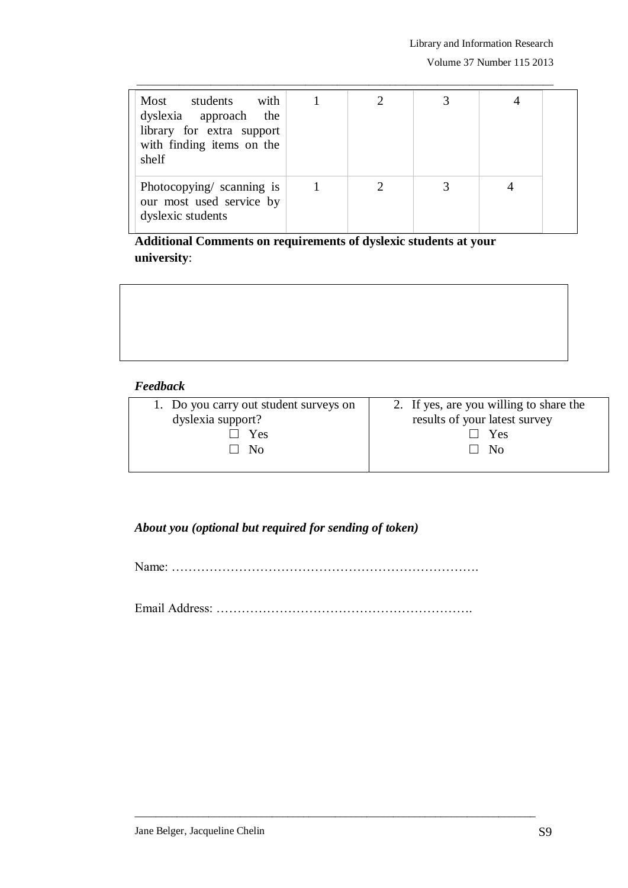| students with<br>Most<br>dyslexia approach the<br>library for extra support<br>with finding items on the<br>shelf |  |  |  |
|-------------------------------------------------------------------------------------------------------------------|--|--|--|
| Photocopying/ scanning is<br>our most used service by<br>dyslexic students                                        |  |  |  |

**Additional Comments on requirements of dyslexic students at your university**:

## *Feedback*

| 1. Do you carry out student surveys on | 2. If yes, are you willing to share the |
|----------------------------------------|-----------------------------------------|
| dyslexia support?                      | results of your latest survey           |
| Yes                                    | ∣ Yes                                   |
| N <sub>0</sub>                         | - No                                    |
|                                        |                                         |

## *About you (optional but required for sending of token)*

Name: ……………………………………………………………….

Email Address: …………………………………………………….